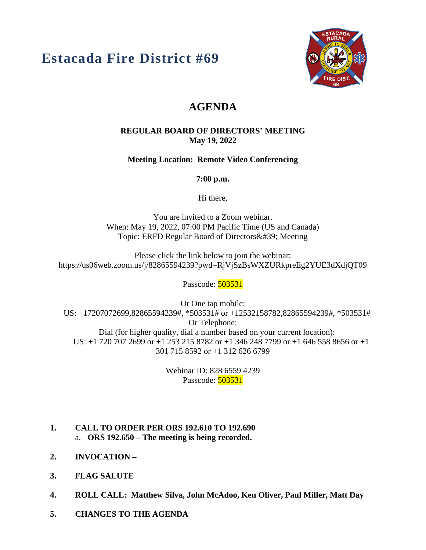# **Estacada Fire District #69**



# **AGENDA**

#### **REGULAR BOARD OF DIRECTORS' MEETING May 19, 2022**

**Meeting Location: Remote Video Conferencing**

**7:00 p.m.**

Hi there,

You are invited to a Zoom webinar. When: May 19, 2022, 07:00 PM Pacific Time (US and Canada) Topic: ERFD Regular Board of Directors' Meeting

Please click the link below to join the webinar: https://us06web.zoom.us/j/82865594239?pwd=RjVjSzBsWXZURkpreEg2YUE3dXdjQT09

Passcode: 503531

Or One tap mobile: US: +17207072699,82865594239#, \*503531# or +12532158782,82865594239#, \*503531# Or Telephone: Dial (for higher quality, dial a number based on your current location): US: +1 720 707 2699 or +1 253 215 8782 or +1 346 248 7799 or +1 646 558 8656 or +1 301 715 8592 or +1 312 626 6799

> Webinar ID: 828 6559 4239 Passcode: **503531**

- **1. CALL TO ORDER PER ORS 192.610 TO 192.690** a. **ORS 192.650 – The meeting is being recorded.**
- **2. INVOCATION –**
- **3. FLAG SALUTE**
- **4. ROLL CALL: Matthew Silva, John McAdoo, Ken Oliver, Paul Miller, Matt Day**
- **5. CHANGES TO THE AGENDA**